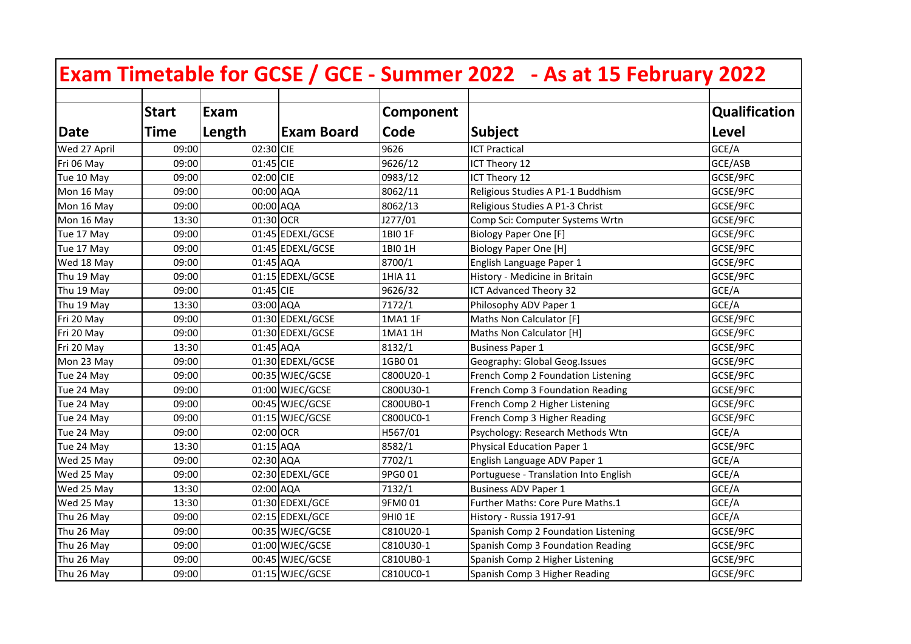|              |              |           |                   |           | Exam Timetable for GCSE / GCE - Summer 2022 - As at 15 February 2022 |                      |
|--------------|--------------|-----------|-------------------|-----------|----------------------------------------------------------------------|----------------------|
|              | <b>Start</b> | Exam      |                   | Component |                                                                      | <b>Qualification</b> |
| Date         | <b>Time</b>  | Length    | <b>Exam Board</b> | Code      | <b>Subject</b>                                                       | Level                |
| Wed 27 April | 09:00        | 02:30 CIE |                   | 9626      | <b>ICT Practical</b>                                                 | GCE/A                |
| Fri 06 May   | 09:00        | 01:45 CIE |                   | 9626/12   | ICT Theory 12                                                        | GCE/ASB              |
| Tue 10 May   | 09:00        | 02:00 CIE |                   | 0983/12   | ICT Theory 12                                                        | GCSE/9FC             |
| Mon 16 May   | 09:00        | 00:00 AQA |                   | 8062/11   | Religious Studies A P1-1 Buddhism                                    | GCSE/9FC             |
| Mon 16 May   | 09:00        | 00:00 AQA |                   | 8062/13   | Religious Studies A P1-3 Christ                                      | GCSE/9FC             |
| Mon 16 May   | 13:30        | 01:30 OCR |                   | J277/01   | Comp Sci: Computer Systems Wrtn                                      | GCSE/9FC             |
| Tue 17 May   | 09:00        |           | 01:45 EDEXL/GCSE  | 1BIO 1F   | <b>Biology Paper One [F]</b>                                         | GCSE/9FC             |
| Tue 17 May   | 09:00        |           | 01:45 EDEXL/GCSE  | 1BI0 1H   | <b>Biology Paper One [H]</b>                                         | GCSE/9FC             |
| Wed 18 May   | 09:00        | 01:45 AQA |                   | 8700/1    | English Language Paper 1                                             | GCSE/9FC             |
| Thu 19 May   | 09:00        |           | 01:15 EDEXL/GCSE  | 1HIA 11   | History - Medicine in Britain                                        | GCSE/9FC             |
| Thu 19 May   | 09:00        | 01:45 CIE |                   | 9626/32   | ICT Advanced Theory 32                                               | GCE/A                |
| Thu 19 May   | 13:30        | 03:00 AQA |                   | 7172/1    | Philosophy ADV Paper 1                                               | GCE/A                |
| Fri 20 May   | 09:00        |           | 01:30 EDEXL/GCSE  | 1MA1 1F   | Maths Non Calculator [F]                                             | GCSE/9FC             |
| Fri 20 May   | 09:00        |           | 01:30 EDEXL/GCSE  | 1MA1 1H   | Maths Non Calculator [H]                                             | GCSE/9FC             |
| Fri 20 May   | 13:30        | 01:45 AQA |                   | 8132/1    | <b>Business Paper 1</b>                                              | GCSE/9FC             |
| Mon 23 May   | 09:00        |           | 01:30 EDEXL/GCSE  | 1GB001    | Geography: Global Geog.Issues                                        | GCSE/9FC             |
| Tue 24 May   | 09:00        |           | 00:35 WJEC/GCSE   | C800U20-1 | French Comp 2 Foundation Listening                                   | GCSE/9FC             |
| Tue 24 May   | 09:00        |           | 01:00 WJEC/GCSE   | C800U30-1 | French Comp 3 Foundation Reading                                     | GCSE/9FC             |
| Tue 24 May   | 09:00        |           | 00:45 WJEC/GCSE   | C800UB0-1 | French Comp 2 Higher Listening                                       | GCSE/9FC             |
| Tue 24 May   | 09:00        |           | 01:15 WJEC/GCSE   | C800UC0-1 | French Comp 3 Higher Reading                                         | GCSE/9FC             |
| Tue 24 May   | 09:00        | 02:00 OCR |                   | H567/01   | Psychology: Research Methods Wtn                                     | GCE/A                |
| Tue 24 May   | 13:30        | 01:15 AQA |                   | 8582/1    | Physical Education Paper 1                                           | GCSE/9FC             |
| Wed 25 May   | 09:00        | 02:30 AQA |                   | 7702/1    | English Language ADV Paper 1                                         | GCE/A                |
| Wed 25 May   | 09:00        |           | 02:30 EDEXL/GCE   | 9PG0 01   | Portuguese - Translation Into English                                | GCE/A                |
| Wed 25 May   | 13:30        | 02:00 AQA |                   | 7132/1    | <b>Business ADV Paper 1</b>                                          | GCE/A                |
| Wed 25 May   | 13:30        |           | 01:30 EDEXL/GCE   | 9FM001    | Further Maths: Core Pure Maths.1                                     | GCE/A                |
| Thu 26 May   | 09:00        |           | 02:15 EDEXL/GCE   | 9HI0 1E   | History - Russia 1917-91                                             | GCE/A                |
| Thu 26 May   | 09:00        |           | 00:35 WJEC/GCSE   | C810U20-1 | Spanish Comp 2 Foundation Listening                                  | GCSE/9FC             |
| Thu 26 May   | 09:00        |           | 01:00 WJEC/GCSE   | C810U30-1 | Spanish Comp 3 Foundation Reading                                    | GCSE/9FC             |
| Thu 26 May   | 09:00        |           | 00:45 WJEC/GCSE   | C810UB0-1 | Spanish Comp 2 Higher Listening                                      | GCSE/9FC             |
| Thu 26 May   | 09:00        |           | 01:15 WJEC/GCSE   | C810UC0-1 | Spanish Comp 3 Higher Reading                                        | GCSE/9FC             |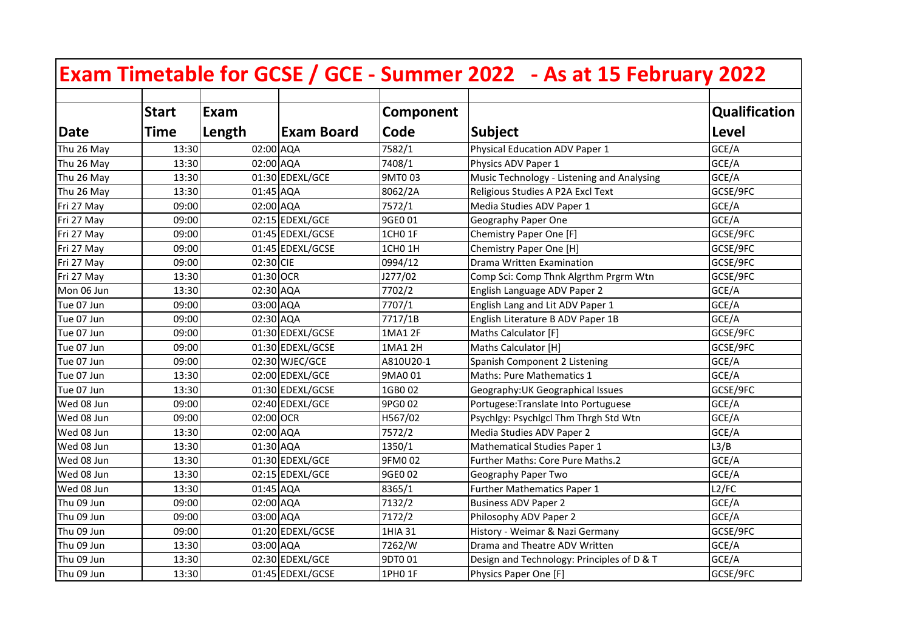|            |              |           |                   |                    | Exam Timetable for GCSE / GCE - Summer 2022 - As at 15 February 2022 |                      |
|------------|--------------|-----------|-------------------|--------------------|----------------------------------------------------------------------|----------------------|
|            | <b>Start</b> | Exam      |                   | Component          |                                                                      | <b>Qualification</b> |
| Date       | <b>Time</b>  | Length    | <b>Exam Board</b> | Code               | <b>Subject</b>                                                       | Level                |
| Thu 26 May | 13:30        | 02:00 AQA |                   | 7582/1             | Physical Education ADV Paper 1                                       | GCE/A                |
| Thu 26 May | 13:30        | 02:00 AQA |                   | 7408/1             | Physics ADV Paper 1                                                  | GCE/A                |
| Thu 26 May | 13:30        |           | 01:30 EDEXL/GCE   | 9MT003             | Music Technology - Listening and Analysing                           | GCE/A                |
| Thu 26 May | 13:30        |           | 01:45 AQA         | 8062/2A            | Religious Studies A P2A Excl Text                                    | GCSE/9FC             |
| Fri 27 May | 09:00        |           | 02:00 AQA         | 7572/1             | Media Studies ADV Paper 1                                            | GCE/A                |
| Fri 27 May | 09:00        |           | 02:15 EDEXL/GCE   | 9GE0 01            | Geography Paper One                                                  | GCE/A                |
| Fri 27 May | 09:00        |           | 01:45 EDEXL/GCSE  | 1CH0 1F            | Chemistry Paper One [F]                                              | GCSE/9FC             |
| Fri 27 May | 09:00        |           | 01:45 EDEXL/GCSE  | 1CHO <sub>1H</sub> | Chemistry Paper One [H]                                              | GCSE/9FC             |
| Fri 27 May | 09:00        | 02:30 CIE |                   | 0994/12            | Drama Written Examination                                            | GCSE/9FC             |
| Fri 27 May | 13:30        | 01:30 OCR |                   | J277/02            | Comp Sci: Comp Thnk Algrthm Prgrm Wtn                                | GCSE/9FC             |
| Mon 06 Jun | 13:30        |           | 02:30 AQA         | 7702/2             | English Language ADV Paper 2                                         | GCE/A                |
| Tue 07 Jun | 09:00        |           | 03:00 AQA         | 7707/1             | English Lang and Lit ADV Paper 1                                     | GCE/A                |
| Tue 07 Jun | 09:00        |           | 02:30 AQA         | 7717/1B            | English Literature B ADV Paper 1B                                    | GCE/A                |
| Tue 07 Jun | 09:00        |           | 01:30 EDEXL/GCSE  | 1MA1 2F            | Maths Calculator [F]                                                 | GCSE/9FC             |
| Tue 07 Jun | 09:00        |           | 01:30 EDEXL/GCSE  | 1MA1 2H            | Maths Calculator [H]                                                 | GCSE/9FC             |
| Tue 07 Jun | 09:00        |           | 02:30 WJEC/GCE    | A810U20-1          | Spanish Component 2 Listening                                        | GCE/A                |
| Tue 07 Jun | 13:30        |           | 02:00 EDEXL/GCE   | 9MA0 01            | <b>Maths: Pure Mathematics 1</b>                                     | GCE/A                |
| Tue 07 Jun | 13:30        |           | 01:30 EDEXL/GCSE  | 1GB0 02            | Geography: UK Geographical Issues                                    | GCSE/9FC             |
| Wed 08 Jun | 09:00        |           | 02:40 EDEXL/GCE   | 9PG0 02            | Portugese: Translate Into Portuguese                                 | GCE/A                |
| Wed 08 Jun | 09:00        | 02:00 OCR |                   | H567/02            | Psychlgy: Psychlgcl Thm Thrgh Std Wtn                                | GCE/A                |
| Wed 08 Jun | 13:30        |           | 02:00 AQA         | 7572/2             | Media Studies ADV Paper 2                                            | GCE/A                |
| Wed 08 Jun | 13:30        |           | 01:30 AQA         | 1350/1             | Mathematical Studies Paper 1                                         | L3/B                 |
| Wed 08 Jun | 13:30        |           | 01:30 EDEXL/GCE   | 9FM002             | Further Maths: Core Pure Maths.2                                     | GCE/A                |
| Wed 08 Jun | 13:30        |           | 02:15 EDEXL/GCE   | 9GE0 02            | Geography Paper Two                                                  | GCE/A                |
| Wed 08 Jun | 13:30        |           | 01:45 AQA         | 8365/1             | Further Mathematics Paper 1                                          | L2/FC                |
| Thu 09 Jun | 09:00        |           | 02:00 AQA         | 7132/2             | <b>Business ADV Paper 2</b>                                          | GCE/A                |
| Thu 09 Jun | 09:00        |           | 03:00 AQA         | 7172/2             | Philosophy ADV Paper 2                                               | GCE/A                |
| Thu 09 Jun | 09:00        |           | 01:20 EDEXL/GCSE  | 1HIA 31            | History - Weimar & Nazi Germany                                      | GCSE/9FC             |
| Thu 09 Jun | 13:30        |           | 03:00 AQA         | 7262/W             | Drama and Theatre ADV Written                                        | GCE/A                |
| Thu 09 Jun | 13:30        |           | 02:30 EDEXL/GCE   | 9DT0 01            | Design and Technology: Principles of D & T                           | GCE/A                |
| Thu 09 Jun | 13:30        |           | 01:45 EDEXL/GCSE  | 1PH0 1F            | Physics Paper One [F]                                                | GCSE/9FC             |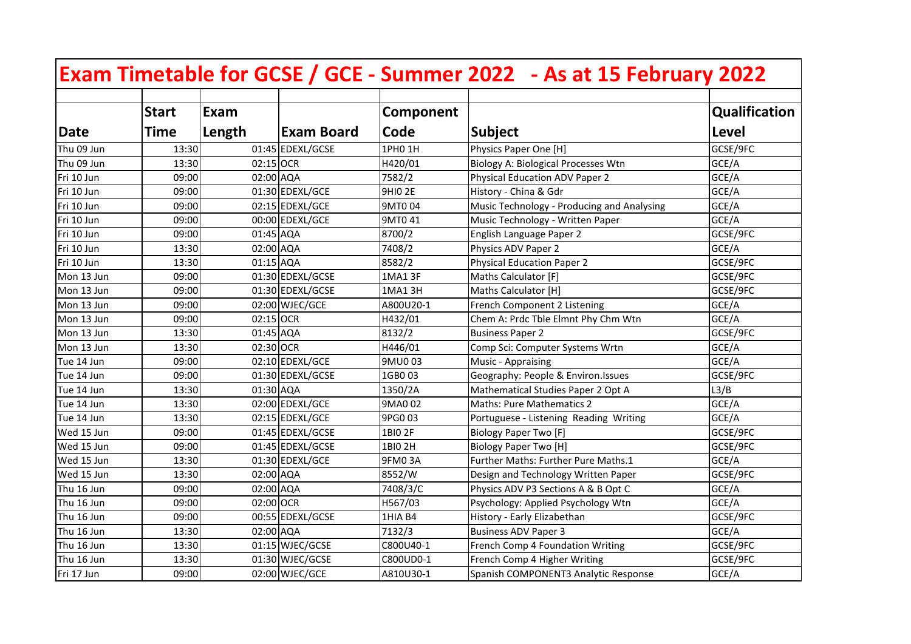|            |              |           |                   |                | Exam Timetable for GCSE / GCE - Summer 2022 - As at 15 February 2022 |                      |
|------------|--------------|-----------|-------------------|----------------|----------------------------------------------------------------------|----------------------|
|            | <b>Start</b> | Exam      |                   | Component      |                                                                      | <b>Qualification</b> |
| Date       | <b>Time</b>  | Length    | <b>Exam Board</b> | Code           | <b>Subject</b>                                                       | Level                |
| Thu 09 Jun | 13:30        |           | 01:45 EDEXL/GCSE  | 1PH0 1H        | Physics Paper One [H]                                                | GCSE/9FC             |
| Thu 09 Jun | 13:30        | 02:15 OCR |                   | H420/01        | <b>Biology A: Biological Processes Wtn</b>                           | GCE/A                |
| Fri 10 Jun | 09:00        | 02:00 AQA |                   | 7582/2         | Physical Education ADV Paper 2                                       | GCE/A                |
| Fri 10 Jun | 09:00        |           | 01:30 EDEXL/GCE   | <b>9HIO 2E</b> | History - China & Gdr                                                | GCE/A                |
| Fri 10 Jun | 09:00        |           | 02:15 EDEXL/GCE   | 9MT0 04        | Music Technology - Producing and Analysing                           | GCE/A                |
| Fri 10 Jun | 09:00        |           | 00:00 EDEXL/GCE   | 9MT0 41        | Music Technology - Written Paper                                     | GCE/A                |
| Fri 10 Jun | 09:00        | 01:45 AQA |                   | 8700/2         | English Language Paper 2                                             | GCSE/9FC             |
| Fri 10 Jun | 13:30        | 02:00 AQA |                   | 7408/2         | Physics ADV Paper 2                                                  | GCE/A                |
| Fri 10 Jun | 13:30        | 01:15 AQA |                   | 8582/2         | <b>Physical Education Paper 2</b>                                    | GCSE/9FC             |
| Mon 13 Jun | 09:00        |           | 01:30 EDEXL/GCSE  | 1MA1 3F        | Maths Calculator [F]                                                 | GCSE/9FC             |
| Mon 13 Jun | 09:00        |           | 01:30 EDEXL/GCSE  | 1MA1 3H        | Maths Calculator [H]                                                 | GCSE/9FC             |
| Mon 13 Jun | 09:00        |           | 02:00 WJEC/GCE    | A800U20-1      | French Component 2 Listening                                         | GCE/A                |
| Mon 13 Jun | 09:00        | 02:15 OCR |                   | H432/01        | Chem A: Prdc Tble Elmnt Phy Chm Wtn                                  | GCE/A                |
| Mon 13 Jun | 13:30        | 01:45 AQA |                   | 8132/2         | <b>Business Paper 2</b>                                              | GCSE/9FC             |
| Mon 13 Jun | 13:30        | 02:30 OCR |                   | H446/01        | Comp Sci: Computer Systems Wrtn                                      | GCE/A                |
| Tue 14 Jun | 09:00        |           | 02:10 EDEXL/GCE   | 9MU003         | Music - Appraising                                                   | GCE/A                |
| Tue 14 Jun | 09:00        |           | 01:30 EDEXL/GCSE  | 1GB003         | Geography: People & Environ. Issues                                  | GCSE/9FC             |
| Tue 14 Jun | 13:30        | 01:30 AQA |                   | 1350/2A        | Mathematical Studies Paper 2 Opt A                                   | L3/B                 |
| Tue 14 Jun | 13:30        |           | 02:00 EDEXL/GCE   | 9MA0 02        | <b>Maths: Pure Mathematics 2</b>                                     | GCE/A                |
| Tue 14 Jun | 13:30        |           | 02:15 EDEXL/GCE   | 9PG0 03        | Portuguese - Listening Reading Writing                               | GCE/A                |
| Wed 15 Jun | 09:00        |           | 01:45 EDEXL/GCSE  | 1BIO 2F        | <b>Biology Paper Two [F]</b>                                         | GCSE/9FC             |
| Wed 15 Jun | 09:00        |           | 01:45 EDEXL/GCSE  | 1BI0 2H        | <b>Biology Paper Two [H]</b>                                         | GCSE/9FC             |
| Wed 15 Jun | 13:30        |           | 01:30 EDEXL/GCE   | 9FM03A         | Further Maths: Further Pure Maths.1                                  | GCE/A                |
| Wed 15 Jun | 13:30        | 02:00 AQA |                   | 8552/W         | Design and Technology Written Paper                                  | GCSE/9FC             |
| Thu 16 Jun | 09:00        | 02:00 AQA |                   | 7408/3/C       | Physics ADV P3 Sections A & B Opt C                                  | GCE/A                |
| Thu 16 Jun | 09:00        | 02:00 OCR |                   | H567/03        | Psychology: Applied Psychology Wtn                                   | GCE/A                |
| Thu 16 Jun | 09:00        |           | 00:55 EDEXL/GCSE  | 1HIA B4        | History - Early Elizabethan                                          | GCSE/9FC             |
| Thu 16 Jun | 13:30        | 02:00 AQA |                   | 7132/3         | <b>Business ADV Paper 3</b>                                          | GCE/A                |
| Thu 16 Jun | 13:30        |           | 01:15 WJEC/GCSE   | C800U40-1      | French Comp 4 Foundation Writing                                     | GCSE/9FC             |
| Thu 16 Jun | 13:30        |           | 01:30 WJEC/GCSE   | C800UD0-1      | French Comp 4 Higher Writing                                         | GCSE/9FC             |
| Fri 17 Jun | 09:00        |           | 02:00 WJEC/GCE    | A810U30-1      | Spanish COMPONENT3 Analytic Response                                 | GCE/A                |